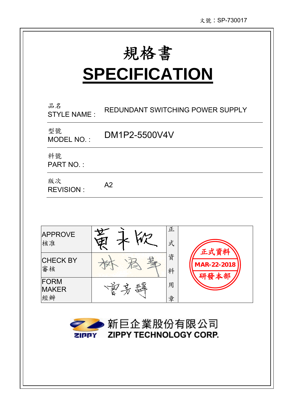# **SPECIFICATION**

| 品名<br><b>STYLE NAME:</b>          | REDUNDANT SWITCHING POWER SUPPLY    |
|-----------------------------------|-------------------------------------|
| 型號<br>MODEL NO.:                  | DM1P2-5500V4V                       |
| 料號<br><b>PART NO.:</b>            |                                     |
| 版次<br><b>REVISION:</b>            | A <sub>2</sub>                      |
|                                   |                                     |
| <b>APPROVE</b><br>核准              | 正<br>式                              |
| <b>CHECK BY</b><br>審核             | 資<br>MAR-22-2018<br>料               |
| <b>FORM</b><br><b>MAKER</b><br>經辦 | 用<br>章                              |
|                                   | ● ● 新巨企業股份有限公司                      |
|                                   | <b>ZIPPY ZIPPY TECHNOLOGY CORP.</b> |
|                                   |                                     |
|                                   |                                     |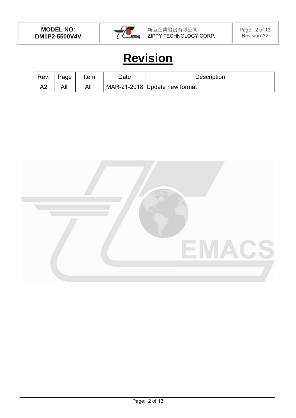

### **Revision**

| Rev. | Page | Item | Date | <b>Description</b>            |
|------|------|------|------|-------------------------------|
| ∼    | All  | All  |      | MAR-21-2018 Update new format |

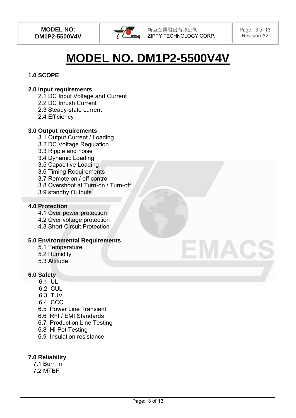

## **MODEL NO. DM1P2-5500V4V**

#### **1.0 SCOPE**

#### **2.0 Input requirements**

- 2.1 DC Input Voltage and Current
- 2.2 DC Inrush Current
- 2.3 Steady-state current
- 2.4 Efficiency

#### **3.0 Output requirements**

- 3.1 Output Current / Loading
- 3.2 DC Voltage Regulation
- 3.3 Ripple and noise
- 3.4 Dynamic Loading
- 3.5 Capacitive Loading
- 3.6 Timing Requirements
- 3.7 Remote on / off control
- 3.8 Overshoot at Turn-on / Turn-off
- 3.9 standby Outputs

#### **4.0 Protection**

- 4.1 Over power protection
- 4.2 Over voltage protection
- 4.3 Short Circuit Protection

#### **5.0 Environmental Requirements**

- 5.1 Temperature
- 5.2 Humidity
- 5.3 Altitude

#### **6.0 Safety**

- 6.1 UL
- 6.2 CUL
- 6.3 TUV
- 6.4 CCC
- 6.5 Power Line Transient
- 6.6 RFI / EMI Standards
- 6.7 Production Line Testing
- 6.8 Hi-Pot Testing
- 6.9 Insulation resistance

#### **7.0 Reliability**

7.1 Burn in 7.2 MTBF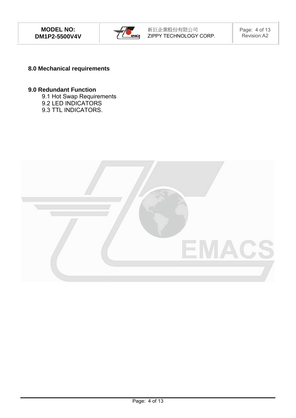

#### **8.0 Mechanical requirements**

#### **9.0 Redundant Function**

- 9.1 Hot Swap Requirements
- 9.2 LED INDICATORS
- 9.3 TTL INDICATORS.

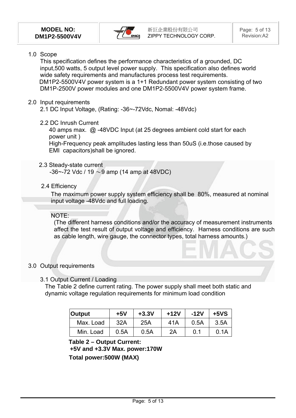

#### 1.0 Scope

This specification defines the performance characteristics of a grounded, DC input,500 watts, 5 output level power supply. This specification also defines world wide safety requirements and manufactures process test requirements. DM1P2-5500V4V power system is a 1+1 Redundant power system consisting of two DM1P-2500V power modules and one DM1P2-5500V4V power system frame.

#### 2.0 Input requirements

2.1 DC Input Voltage, (Rating: -36~-72Vdc, Nomal: -48Vdc)

2.2 DC Inrush Current

 40 amps max. @ -48VDC Input (at 25 degrees ambient cold start for each power unit )

High-Frequency peak amplitudes lasting less than 50uS (i.e.those caused by EMI capacitors)shall be ignored.

#### 2.3 Steady-state current

 $-36$   $-72$  Vdc / 19  $\sim$  9 amp (14 amp at 48VDC)

2.4 Efficiency

 The maximum power supply system efficiency shall be 80%, measured at nominal input voltage -48Vdc and full loading.

#### NOTE:

(The different harness conditions and/or the accuracy of measurement instruments affect the test result of output voltage and efficiency. Harness conditions are such as cable length, wire gauge, the connector types, total harness amounts.)

#### 3.0 Output requirements

#### 3.1 Output Current / Loading

The Table 2 define current rating. The power supply shall meet both static and dynamic voltage regulation requirements for minimum load condition

| <b>Output</b> | $+5V$ | $+3.3V$ | $+12V$ | $-12V$ | $+5VS$ |
|---------------|-------|---------|--------|--------|--------|
| Max. Load     | 32A   | 25A     | 41A    | 0.5A   | 3.5A   |
| Min. Load     | 0.5A  | 0.5A    | 2A     | 0.1    | 0.1A   |

#### **Table 2 – Output Current:**

**+5V and +3.3V Max. power:170W Total power:500W (MAX)**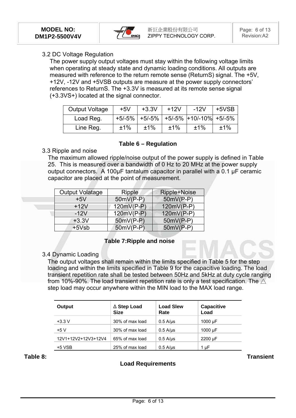

#### 3.2 DC Voltage Regulation

The power supply output voltages must stay within the following voltage limits when operating at steady state and dynamic loading conditions. All outputs are measured with reference to the return remote sense (ReturnS) signal. The +5V, +12V, -12V and +5VSB outputs are measure at the power supply connectors' references to ReturnS. The +3.3V is measured at its remote sense signal (+3.3VS+) located at the signal connector.

| <b>Output Voltage</b> | $+5V$ | $+3.3V$          | $+12V$ | $-12V$                   | +5VSB |
|-----------------------|-------|------------------|--------|--------------------------|-------|
| Load Reg.             |       | $+5/-5\%$ +5/-5% |        | $+5/5\%$ +10/-10% +5/-5% |       |
| Line Reg.             | ±1%   | ±1%              | ±1%    | ±1%                      | ±1%   |

#### **Table 6 – Regulation**

#### 3.3 Ripple and noise

The maximum allowed ripple/noise output of the power supply is defined in Table 25. This is measured over a bandwidth of 0 Hz to 20 MHz at the power supply output connectors. A 100μF tantalum capacitor in parallel with a 0.1 μF ceramic capacitor are placed at the point of measurement.

| <b>Output Volatage</b> | Ripple       | Ripple+Noise |
|------------------------|--------------|--------------|
| $+5V$                  | $50mV(P-P)$  | $50mV(P-P)$  |
| $+12V$                 | $120mV(P-P)$ | $120mV(P-P)$ |
| $-12V$                 | 120mV(P-P)   | $120mV(P-P)$ |
| $+3.3V$                | 50mV(P-P)    | $50mV(P-P)$  |
| $+5Vsb$                | $50mV(P-P)$  | $50mV(P-P)$  |
|                        |              |              |

#### **Table 7:Ripple and noise**

#### 3.4 Dynamic Loading

The output voltages shall remain within the limits specified in Table 5 for the step loading and within the limits specified in Table 9 for the capacitive loading. The load transient repetition rate shall be tested between 50Hz and 5kHz at duty cycle ranging from 10%-90%. The load transient repetition rate is only a test specification. The  $\triangle$ step load may occur anywhere within the MIN load to the MAX load range.

| Output              | $\triangle$ Step Load<br><b>Size</b> | <b>Load Slew</b><br>Rate | <b>Capacitive</b><br>Load |
|---------------------|--------------------------------------|--------------------------|---------------------------|
| $+3.3 V$            | 30% of max load                      | $0.5$ A/ $\mu$ s         | 1000 µF                   |
| +5 V                | 30% of max load                      | $0.5$ A/ $\mu$ s         | 1000 $\mu$ F              |
| 12V1+12V2+12V3+12V4 | 65% of max load                      | $0.5$ A/ $\mu$ s         | 2200 µF                   |
| +5 VSB              | 25% of max load                      | $0.5$ A/ $\mu$ s         | 1 µF                      |

#### **Load Requirements**

**Table 8: Transient**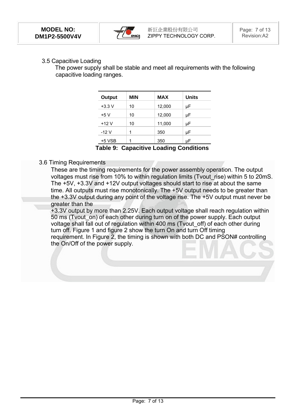

#### 3.5 Capacitive Loading

 The power supply shall be stable and meet all requirements with the following capacitive loading ranges.

| Output   | <b>MIN</b> | <b>MAX</b> | <b>Units</b> |
|----------|------------|------------|--------------|
| $+3.3 V$ | 10         | 12,000     | μF           |
| +5 V     | 10         | 12,000     | μF           |
| +12 V    | 10         | 11,000     | μF           |
| -12 V    | 1          | 350        | μF           |
| $+5$ VSB | 1          | 350        | μF           |

**Table 9: Capacitive Loading Conditions** 

#### 3.6 Timing Requirements

These are the timing requirements for the power assembly operation. The output voltages must rise from 10% to within regulation limits (Tvout\_rise) within 5 to 20mS. The +5V, +3.3V and +12V output voltages should start to rise at about the same time. All outputs must rise monotonically. The +5V output needs to be greater than the +3.3V output during any point of the voltage rise. The +5V output must never be greater than the

+3.3V output by more than 2.25V. Each output voltage shall reach regulation within 50 ms (Tvout on) of each other during turn on of the power supply. Each output voltage shall fall out of regulation within 400 ms (Tvout\_off) of each other during turn off. Figure 1 and figure 2 show the turn On and turn Off timing requirement. In Figure 2, the timing is shown with both DC and PSON# controlling the On/Off of the power supply.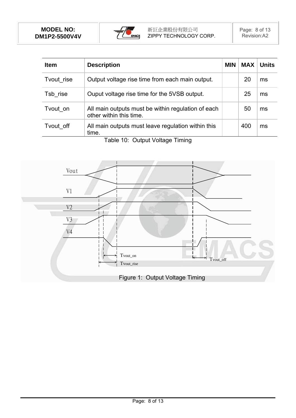

| <b>Item</b> | <b>Description</b>                                                            | <b>MIN</b> | <b>MAX</b> | <b>Units</b> |
|-------------|-------------------------------------------------------------------------------|------------|------------|--------------|
| Tvout rise  | Output voltage rise time from each main output.                               |            | 20         | ms           |
| Tsb rise    | Ouput voltage rise time for the 5VSB output.                                  |            | 25         | ms           |
| Tvout on    | All main outputs must be within regulation of each<br>other within this time. |            | 50         | ms           |
| Tvout off   | All main outputs must leave regulation within this<br>time.                   |            | 400        | ms           |

Table 10: Output Voltage Timing

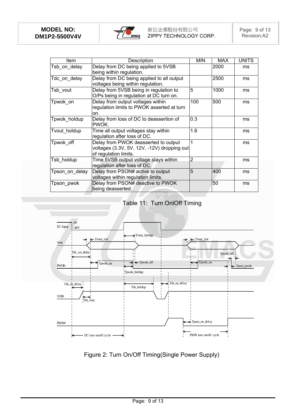

| <b>Item</b>    | Description                                                                                                  | <b>MIN</b> | <b>MAX</b> | <b>UNITS</b> |
|----------------|--------------------------------------------------------------------------------------------------------------|------------|------------|--------------|
| Tsb_on_delay   | Delay from DC being applied to 5VSB<br>being within regulation.                                              |            | 2000       | ms           |
| Tdc on delay   | Delay from DC being applied to all output<br>voltages being within regulation.                               |            | 2500       | ms           |
| Tsb_vout       | Delay from 5VSB being in regulation to<br>O/Ps being in regulation at DC turn on.                            | 5          | 1000       | ms           |
| Tpwok on       | Delay from output voltages within<br>regulation limits to PWOK asserted at turn<br>on.                       | 100        | 500        | ms           |
| Tpwok_holdup   | Delay from loss of DC to deassertion of<br>PWOK.                                                             | 0.3        |            | ms           |
| Tvout holdup   | Time all output voltages stay within<br>regulation after loss of DC.                                         | 1.6        |            | ms           |
| Tpwok off      | Delay from PWOK deasserted to output<br>voltages (3.3V, 5V, 12V, -12V) dropping out<br>of regulation limits. | 1          |            | ms           |
| Tsb holdup     | Time 5VSB output voltage stays within<br>regulation after loss of DC.                                        | 2          |            | ms           |
| Tpson_on_delay | Delay from PSON# active to output<br>voltages within regulation limits.                                      | 5          | 400        | ms           |
| Tpson pwok     | Delay from PSON# deactive to PWOK<br>being deasserted.                                                       |            | 50         | ms           |

#### Table 11: Turn OnlOff Timing



Figure 2: Turn On/Off Timing(Single Power Supply)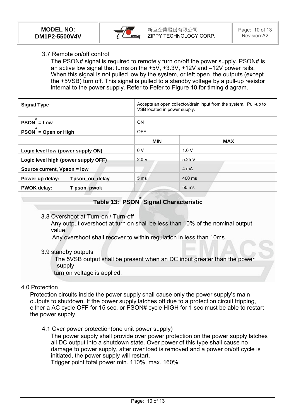

#### 3.7 Remote on/off control

The PSON# signal is required to remotely turn on/off the power supply. PSON# is an active low signal that turns on the +5V, +3.3V, +12V and –12V power rails. When this signal is not pulled low by the system, or left open, the outputs (except the +5VSB) turn off. This signal is pulled to a standby voltage by a pull-up resistor internal to the power supply. Refer to Fefer to Figure 10 for timing diagram.

| <b>Signal Type</b>                  |                 | Accepts an open collector/drain input from the system. Pull-up to<br>VSB located in power supply. |  |  |
|-------------------------------------|-----------------|---------------------------------------------------------------------------------------------------|--|--|
| #<br>$PSON = Low$                   | ON              |                                                                                                   |  |  |
| #<br>$PSON = Open or High$          | <b>OFF</b>      |                                                                                                   |  |  |
|                                     | <b>MIN</b>      | <b>MAX</b>                                                                                        |  |  |
| Logic level low (power supply ON)   | 0V              | 1.0V                                                                                              |  |  |
| Logic level high (power supply OFF) | 2.0V            | 5.25V                                                                                             |  |  |
| Source current, Vpson = low         |                 | 4 mA                                                                                              |  |  |
| Tpson_on_delay<br>Power up delay:   | 5 <sub>ms</sub> | 400 ms                                                                                            |  |  |
| <b>PWOK delay:</b><br>T pson_pwok   |                 | 50 ms                                                                                             |  |  |

### **Table 13: PSON # Signal Characteristic**

3.8 Overshoot at Turn-on / Turn-off

Any output overshoot at turn on shall be less than 10% of the nominal output value.

Any overshoot shall recover to within regulation in less than 10ms.

3.9 standby outputs

 The 5VSB output shall be present when an DC input greater than the power supply

turn on voltage is applied.

#### 4.0 Protection

Protection circuits inside the power supply shall cause only the power supply's main outputs to shutdown. If the power supply latches off due to a protection circuit tripping, either a AC cycle OFF for 15 sec, or PSON# cycle HIGH for 1 sec must be able to restart the power supply.

4.1 Over power protection(one unit power supply)

The power supply shall provide over power protection on the power supply latches all DC output into a shutdown state. Over power of this type shall cause no damage to power supply, after over load is removed and a power on/off cycle is initiated, the power supply will restart.

Trigger point total power min. 110%, max. 160%.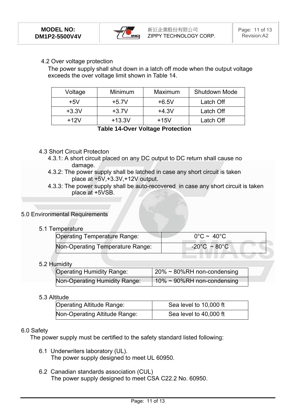

#### 4.2 Over voltage protection

The power supply shall shut down in a latch off mode when the output voltage exceeds the over voltage limit shown in Table 14.

| Voltage | Minimum  | Maximum | Shutdown Mode |
|---------|----------|---------|---------------|
| $+5V$   | $+5.7V$  | $+6.5V$ | Latch Off     |
| $+3.3V$ | $+3.7V$  | $+4.3V$ | Latch Off     |
| $+12V$  | $+13.3V$ | +15V    | Latch Off     |

**Table 14-Over Voltage Protection** 

#### 4.3 Short Circuit Protecton

- 4.3.1: A short circuit placed on any DC output to DC return shall cause no damage.
- 4.3.2: The power supply shall be latched in case any short circuit is taken place at +5V,+3.3V,+12V output.
- 4.3.3: The power supply shall be auto-recovered in case any short circuit is taken place at +5VSB.

#### 5.0 Environmental Requirements

#### 5.1 Temperature

| <b>Operating Temperature Range:</b> | $0^{\circ}$ C ~ 40 $^{\circ}$ C   |  |
|-------------------------------------|-----------------------------------|--|
| Non-Operating Temperature Range:    | $-20^{\circ}$ C ~ 80 $^{\circ}$ C |  |

#### 5.2 Humidity

| <b>Operating Humidity Range:</b> | $\frac{1}{20\%}$ ~ 80%RH non-condensing |
|----------------------------------|-----------------------------------------|
| Non-Operating Humidity Range:    | $10\% \sim 90\%$ RH non-condensing      |

#### 5.3 Altitude

| <b>Operating Altitude Range:</b> | Sea level to 10,000 ft |
|----------------------------------|------------------------|
| Non-Operating Altitude Range:    | Sea level to 40,000 ft |

#### 6.0 Safety

The power supply must be certified to the safety standard listed following:

- 6.1 Underwriters laboratory (UL). The power supply designed to meet UL 60950.
- 6.2 Canadian standards association (CUL) The power supply designed to meet CSA C22.2 No. 60950.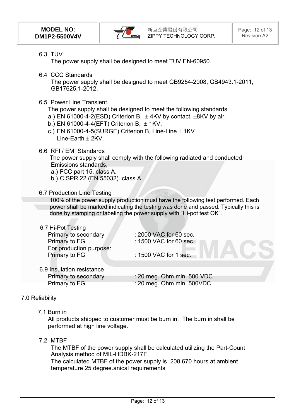

6.3 TUV

The power supply shall be designed to meet TUV EN-60950.

6.4 CCC Standards

The power supply shall be designed to meet GB9254-2008, GB4943.1-2011, GB17625.1-2012.

6.5 Power Line Transient.

The power supply shall be designed to meet the following standards

- a.) EN 61000-4-2(ESD) Criterion B,  $\pm$  4KV by contact,  $\pm$ 8KV by air.
- b.) EN 61000-4-4(EFT) Criterion B,  $\pm$  1KV.
- c.) EN 61000-4-5(SURGE) Criterion B, Line-Line  $\pm$  1KV Line-Earth  $\pm$  2KV.
- 6.6 RFI / EMI Standards

 The power supply shall comply with the following radiated and conducted Emissions standards,

- a.) FCC part 15. class A.
- b.) CISPR 22 (EN 55032). class A.
- 6.7 Production Line Testing

100% of the power supply production must have the following test performed. Each power shall be marked indicating the testing was done and passed. Typically this is done by stamping or labeling the power supply with "Hi-pot test OK".

#### 6.7 Hi-Pot Testing

Primary to secondary : 2000 VAC for 60 sec. Primary to FG : 1500 VAC for 60 sec. For production purpose: Primary to FG : 1500 VAC for 1 sec.

| 6.9 Insulation resistance |
|---------------------------|
| Primary to secondary      |
| Primary to FG.            |

 $: 20$  meg. Ohm min. 500 VDC Primary to FG : 20 meg. Ohm min. 500VDC

#### 7.0 Reliability

7.1 Burn in

All products shipped to customer must be burn in. The burn in shall be performed at high line voltage.

#### 7.2 MTBF

The MTBF of the power supply shall be calculated utilizing the Part-Count Analysis method of MIL-HDBK-217F.

The calculated MTBF of the power supply is 208,670 hours at ambient temperature 25 degree.anical requirements